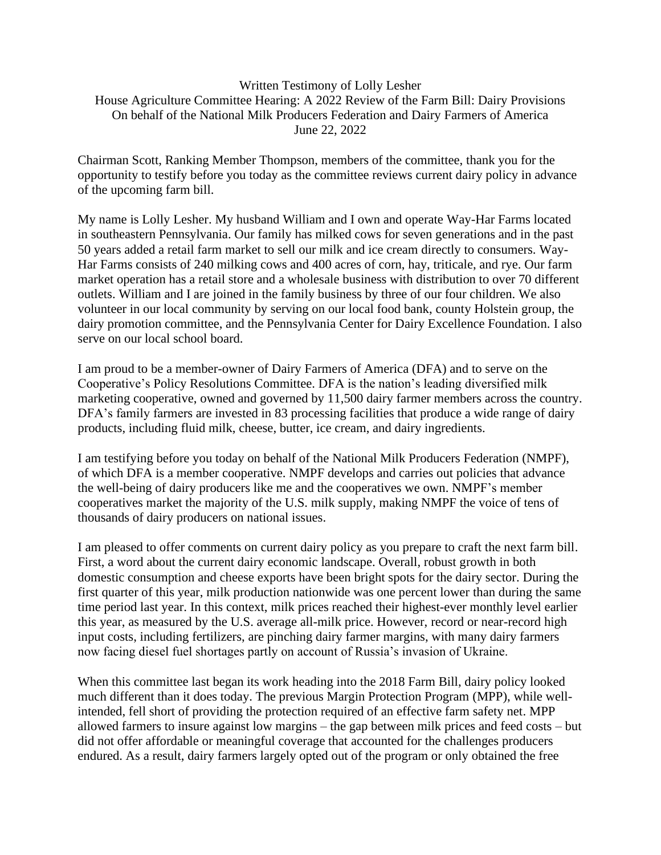## Written Testimony of Lolly Lesher House Agriculture Committee Hearing: A 2022 Review of the Farm Bill: Dairy Provisions On behalf of the National Milk Producers Federation and Dairy Farmers of America June 22, 2022

Chairman Scott, Ranking Member Thompson, members of the committee, thank you for the opportunity to testify before you today as the committee reviews current dairy policy in advance of the upcoming farm bill.

My name is Lolly Lesher. My husband William and I own and operate Way-Har Farms located in southeastern Pennsylvania. Our family has milked cows for seven generations and in the past 50 years added a retail farm market to sell our milk and ice cream directly to consumers. Way-Har Farms consists of 240 milking cows and 400 acres of corn, hay, triticale, and rye. Our farm market operation has a retail store and a wholesale business with distribution to over 70 different outlets. William and I are joined in the family business by three of our four children. We also volunteer in our local community by serving on our local food bank, county Holstein group, the dairy promotion committee, and the Pennsylvania Center for Dairy Excellence Foundation. I also serve on our local school board.

I am proud to be a member-owner of Dairy Farmers of America (DFA) and to serve on the Cooperative's Policy Resolutions Committee. DFA is the nation's leading diversified milk marketing cooperative, owned and governed by 11,500 dairy farmer members across the country. DFA's family farmers are invested in 83 processing facilities that produce a wide range of dairy products, including fluid milk, cheese, butter, ice cream, and dairy ingredients.

I am testifying before you today on behalf of the National Milk Producers Federation (NMPF), of which DFA is a member cooperative. NMPF develops and carries out policies that advance the well-being of dairy producers like me and the cooperatives we own. NMPF's member cooperatives market the majority of the U.S. milk supply, making NMPF the voice of tens of thousands of dairy producers on national issues.

I am pleased to offer comments on current dairy policy as you prepare to craft the next farm bill. First, a word about the current dairy economic landscape. Overall, robust growth in both domestic consumption and cheese exports have been bright spots for the dairy sector. During the first quarter of this year, milk production nationwide was one percent lower than during the same time period last year. In this context, milk prices reached their highest-ever monthly level earlier this year, as measured by the U.S. average all-milk price. However, record or near-record high input costs, including fertilizers, are pinching dairy farmer margins, with many dairy farmers now facing diesel fuel shortages partly on account of Russia's invasion of Ukraine.

When this committee last began its work heading into the 2018 Farm Bill, dairy policy looked much different than it does today. The previous Margin Protection Program (MPP), while wellintended, fell short of providing the protection required of an effective farm safety net. MPP allowed farmers to insure against low margins – the gap between milk prices and feed costs – but did not offer affordable or meaningful coverage that accounted for the challenges producers endured. As a result, dairy farmers largely opted out of the program or only obtained the free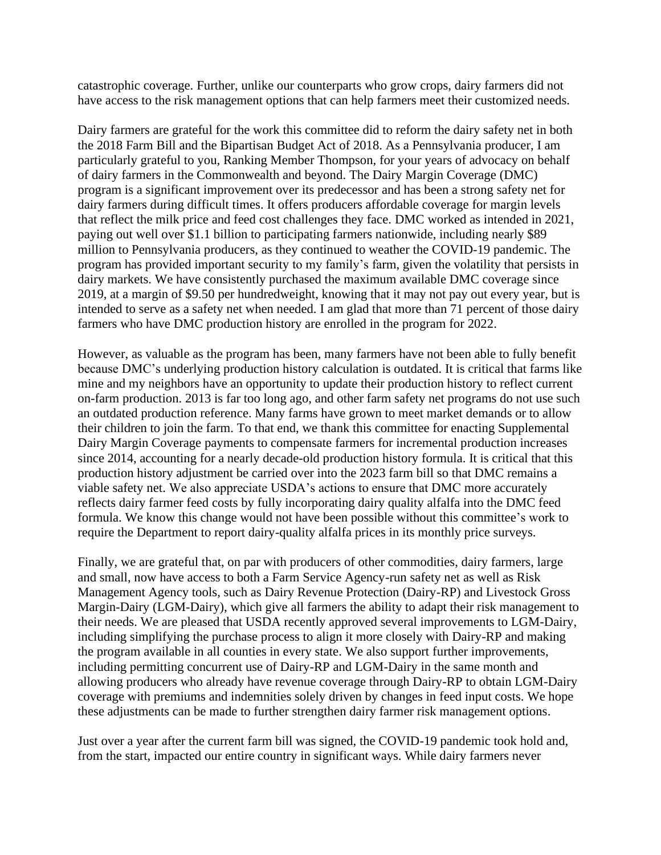catastrophic coverage. Further, unlike our counterparts who grow crops, dairy farmers did not have access to the risk management options that can help farmers meet their customized needs.

Dairy farmers are grateful for the work this committee did to reform the dairy safety net in both the 2018 Farm Bill and the Bipartisan Budget Act of 2018. As a Pennsylvania producer, I am particularly grateful to you, Ranking Member Thompson, for your years of advocacy on behalf of dairy farmers in the Commonwealth and beyond. The Dairy Margin Coverage (DMC) program is a significant improvement over its predecessor and has been a strong safety net for dairy farmers during difficult times. It offers producers affordable coverage for margin levels that reflect the milk price and feed cost challenges they face. DMC worked as intended in 2021, paying out well over \$1.1 billion to participating farmers nationwide, including nearly \$89 million to Pennsylvania producers, as they continued to weather the COVID-19 pandemic. The program has provided important security to my family's farm, given the volatility that persists in dairy markets. We have consistently purchased the maximum available DMC coverage since 2019, at a margin of \$9.50 per hundredweight, knowing that it may not pay out every year, but is intended to serve as a safety net when needed. I am glad that more than 71 percent of those dairy farmers who have DMC production history are enrolled in the program for 2022.

However, as valuable as the program has been, many farmers have not been able to fully benefit because DMC's underlying production history calculation is outdated. It is critical that farms like mine and my neighbors have an opportunity to update their production history to reflect current on-farm production. 2013 is far too long ago, and other farm safety net programs do not use such an outdated production reference. Many farms have grown to meet market demands or to allow their children to join the farm. To that end, we thank this committee for enacting Supplemental Dairy Margin Coverage payments to compensate farmers for incremental production increases since 2014, accounting for a nearly decade-old production history formula. It is critical that this production history adjustment be carried over into the 2023 farm bill so that DMC remains a viable safety net. We also appreciate USDA's actions to ensure that DMC more accurately reflects dairy farmer feed costs by fully incorporating dairy quality alfalfa into the DMC feed formula. We know this change would not have been possible without this committee's work to require the Department to report dairy-quality alfalfa prices in its monthly price surveys.

Finally, we are grateful that, on par with producers of other commodities, dairy farmers, large and small, now have access to both a Farm Service Agency-run safety net as well as Risk Management Agency tools, such as Dairy Revenue Protection (Dairy-RP) and Livestock Gross Margin-Dairy (LGM-Dairy), which give all farmers the ability to adapt their risk management to their needs. We are pleased that USDA recently approved several improvements to LGM-Dairy, including simplifying the purchase process to align it more closely with Dairy-RP and making the program available in all counties in every state. We also support further improvements, including permitting concurrent use of Dairy-RP and LGM-Dairy in the same month and allowing producers who already have revenue coverage through Dairy-RP to obtain LGM-Dairy coverage with premiums and indemnities solely driven by changes in feed input costs. We hope these adjustments can be made to further strengthen dairy farmer risk management options.

Just over a year after the current farm bill was signed, the COVID-19 pandemic took hold and, from the start, impacted our entire country in significant ways. While dairy farmers never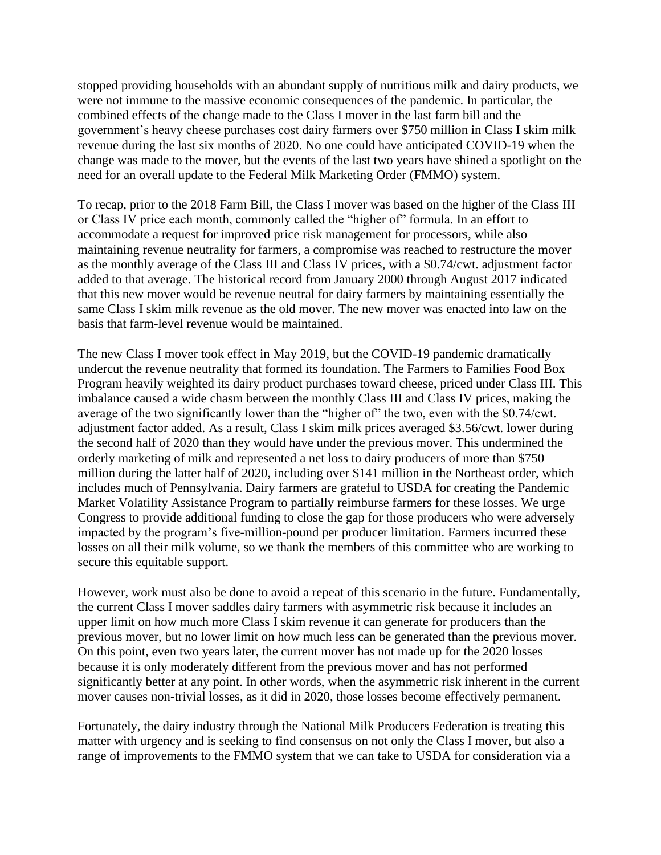stopped providing households with an abundant supply of nutritious milk and dairy products, we were not immune to the massive economic consequences of the pandemic. In particular, the combined effects of the change made to the Class I mover in the last farm bill and the government's heavy cheese purchases cost dairy farmers over \$750 million in Class I skim milk revenue during the last six months of 2020. No one could have anticipated COVID-19 when the change was made to the mover, but the events of the last two years have shined a spotlight on the need for an overall update to the Federal Milk Marketing Order (FMMO) system.

To recap, prior to the 2018 Farm Bill, the Class I mover was based on the higher of the Class III or Class IV price each month, commonly called the "higher of" formula. In an effort to accommodate a request for improved price risk management for processors, while also maintaining revenue neutrality for farmers, a compromise was reached to restructure the mover as the monthly average of the Class III and Class IV prices, with a \$0.74/cwt. adjustment factor added to that average. The historical record from January 2000 through August 2017 indicated that this new mover would be revenue neutral for dairy farmers by maintaining essentially the same Class I skim milk revenue as the old mover. The new mover was enacted into law on the basis that farm-level revenue would be maintained.

The new Class I mover took effect in May 2019, but the COVID-19 pandemic dramatically undercut the revenue neutrality that formed its foundation. The Farmers to Families Food Box Program heavily weighted its dairy product purchases toward cheese, priced under Class III. This imbalance caused a wide chasm between the monthly Class III and Class IV prices, making the average of the two significantly lower than the "higher of" the two, even with the \$0.74/cwt. adjustment factor added. As a result, Class I skim milk prices averaged \$3.56/cwt. lower during the second half of 2020 than they would have under the previous mover. This undermined the orderly marketing of milk and represented a net loss to dairy producers of more than \$750 million during the latter half of 2020, including over \$141 million in the Northeast order, which includes much of Pennsylvania. Dairy farmers are grateful to USDA for creating the Pandemic Market Volatility Assistance Program to partially reimburse farmers for these losses. We urge Congress to provide additional funding to close the gap for those producers who were adversely impacted by the program's five-million-pound per producer limitation. Farmers incurred these losses on all their milk volume, so we thank the members of this committee who are working to secure this equitable support.

However, work must also be done to avoid a repeat of this scenario in the future. Fundamentally, the current Class I mover saddles dairy farmers with asymmetric risk because it includes an upper limit on how much more Class I skim revenue it can generate for producers than the previous mover, but no lower limit on how much less can be generated than the previous mover. On this point, even two years later, the current mover has not made up for the 2020 losses because it is only moderately different from the previous mover and has not performed significantly better at any point. In other words, when the asymmetric risk inherent in the current mover causes non-trivial losses, as it did in 2020, those losses become effectively permanent.

Fortunately, the dairy industry through the National Milk Producers Federation is treating this matter with urgency and is seeking to find consensus on not only the Class I mover, but also a range of improvements to the FMMO system that we can take to USDA for consideration via a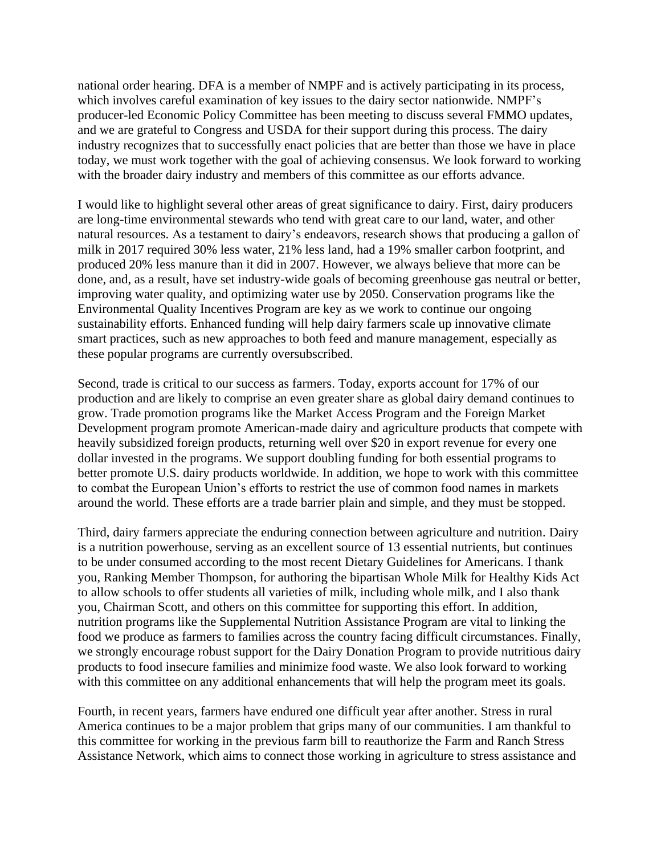national order hearing. DFA is a member of NMPF and is actively participating in its process, which involves careful examination of key issues to the dairy sector nationwide. NMPF's producer-led Economic Policy Committee has been meeting to discuss several FMMO updates, and we are grateful to Congress and USDA for their support during this process. The dairy industry recognizes that to successfully enact policies that are better than those we have in place today, we must work together with the goal of achieving consensus. We look forward to working with the broader dairy industry and members of this committee as our efforts advance.

I would like to highlight several other areas of great significance to dairy. First, dairy producers are long-time environmental stewards who tend with great care to our land, water, and other natural resources. As a testament to dairy's endeavors, research shows that producing a gallon of milk in 2017 required 30% less water, 21% less land, had a 19% smaller carbon footprint, and produced 20% less manure than it did in 2007. However, we always believe that more can be done, and, as a result, have set industry-wide goals of becoming greenhouse gas neutral or better, improving water quality, and optimizing water use by 2050. Conservation programs like the Environmental Quality Incentives Program are key as we work to continue our ongoing sustainability efforts. Enhanced funding will help dairy farmers scale up innovative climate smart practices, such as new approaches to both feed and manure management, especially as these popular programs are currently oversubscribed.

Second, trade is critical to our success as farmers. Today, exports account for 17% of our production and are likely to comprise an even greater share as global dairy demand continues to grow. Trade promotion programs like the Market Access Program and the Foreign Market Development program promote American-made dairy and agriculture products that compete with heavily subsidized foreign products, returning well over \$20 in export revenue for every one dollar invested in the programs. We support doubling funding for both essential programs to better promote U.S. dairy products worldwide. In addition, we hope to work with this committee to combat the European Union's efforts to restrict the use of common food names in markets around the world. These efforts are a trade barrier plain and simple, and they must be stopped.

Third, dairy farmers appreciate the enduring connection between agriculture and nutrition. Dairy is a nutrition powerhouse, serving as an excellent source of 13 essential nutrients, but continues to be under consumed according to the most recent Dietary Guidelines for Americans. I thank you, Ranking Member Thompson, for authoring the bipartisan Whole Milk for Healthy Kids Act to allow schools to offer students all varieties of milk, including whole milk, and I also thank you, Chairman Scott, and others on this committee for supporting this effort. In addition, nutrition programs like the Supplemental Nutrition Assistance Program are vital to linking the food we produce as farmers to families across the country facing difficult circumstances. Finally, we strongly encourage robust support for the Dairy Donation Program to provide nutritious dairy products to food insecure families and minimize food waste. We also look forward to working with this committee on any additional enhancements that will help the program meet its goals.

Fourth, in recent years, farmers have endured one difficult year after another. Stress in rural America continues to be a major problem that grips many of our communities. I am thankful to this committee for working in the previous farm bill to reauthorize the Farm and Ranch Stress Assistance Network, which aims to connect those working in agriculture to stress assistance and